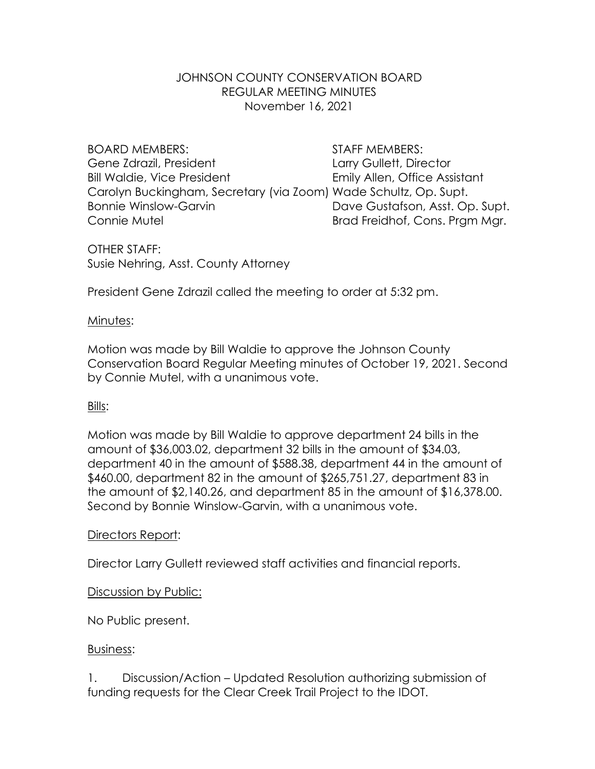# JOHNSON COUNTY CONSERVATION BOARD REGULAR MEETING MINUTES November 16, 2021

BOARD MEMBERS: STAFF MEMBERS: Gene Zdrazil, President Larry Gullett, Director Bill Waldie, Vice President **Emily Allen**, Office Assistant Carolyn Buckingham, Secretary (via Zoom) Wade Schultz, Op. Supt. Bonnie Winslow-Garvin **Dave Gustafson, Asst. Op. Supt.** Connie Mutel **Brad Freidhof, Cons. Prgm Mgr. Brad Freidhof, Cons. Prgm Mgr.** 

OTHER STAFF: Susie Nehring, Asst. County Attorney

President Gene Zdrazil called the meeting to order at 5:32 pm.

# Minutes:

Motion was made by Bill Waldie to approve the Johnson County Conservation Board Regular Meeting minutes of October 19, 2021. Second by Connie Mutel, with a unanimous vote.

# Bills:

Motion was made by Bill Waldie to approve department 24 bills in the amount of \$36,003.02, department 32 bills in the amount of \$34.03, department 40 in the amount of \$588.38, department 44 in the amount of \$460.00, department 82 in the amount of \$265,751.27, department 83 in the amount of \$2,140.26, and department 85 in the amount of \$16,378.00. Second by Bonnie Winslow-Garvin, with a unanimous vote.

# Directors Report:

Director Larry Gullett reviewed staff activities and financial reports.

# Discussion by Public:

No Public present.

# Business:

1. Discussion/Action – Updated Resolution authorizing submission of funding requests for the Clear Creek Trail Project to the IDOT.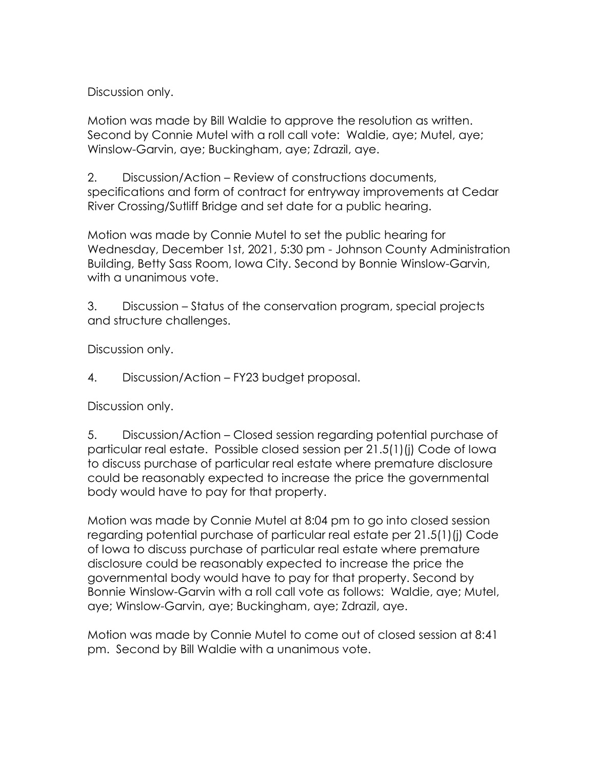Discussion only.

Motion was made by Bill Waldie to approve the resolution as written. Second by Connie Mutel with a roll call vote: Waldie, aye; Mutel, aye; Winslow-Garvin, aye; Buckingham, aye; Zdrazil, aye.

2. Discussion/Action – Review of constructions documents, specifications and form of contract for entryway improvements at Cedar River Crossing/Sutliff Bridge and set date for a public hearing.

Motion was made by Connie Mutel to set the public hearing for Wednesday, December 1st, 2021, 5:30 pm - Johnson County Administration Building, Betty Sass Room, Iowa City. Second by Bonnie Winslow-Garvin, with a unanimous vote.

3. Discussion – Status of the conservation program, special projects and structure challenges.

Discussion only.

4. Discussion/Action – FY23 budget proposal.

Discussion only.

5. Discussion/Action – Closed session regarding potential purchase of particular real estate. Possible closed session per 21.5(1)(j) Code of Iowa to discuss purchase of particular real estate where premature disclosure could be reasonably expected to increase the price the governmental body would have to pay for that property.

Motion was made by Connie Mutel at 8:04 pm to go into closed session regarding potential purchase of particular real estate per 21.5(1)(j) Code of Iowa to discuss purchase of particular real estate where premature disclosure could be reasonably expected to increase the price the governmental body would have to pay for that property. Second by Bonnie Winslow-Garvin with a roll call vote as follows: Waldie, aye; Mutel, aye; Winslow-Garvin, aye; Buckingham, aye; Zdrazil, aye.

Motion was made by Connie Mutel to come out of closed session at 8:41 pm. Second by Bill Waldie with a unanimous vote.